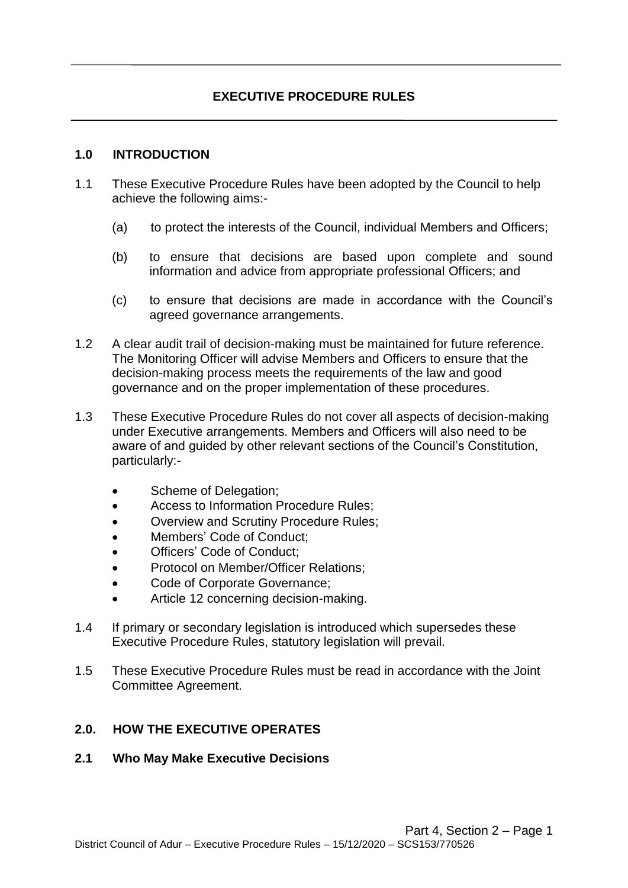### **1.0 INTRODUCTION**

- 1.1 These Executive Procedure Rules have been adopted by the Council to help achieve the following aims:-
	- (a) to protect the interests of the Council, individual Members and Officers;
	- (b) to ensure that decisions are based upon complete and sound information and advice from appropriate professional Officers; and
	- (c) to ensure that decisions are made in accordance with the Council's agreed governance arrangements.
- 1.2 A clear audit trail of decision-making must be maintained for future reference. The Monitoring Officer will advise Members and Officers to ensure that the decision-making process meets the requirements of the law and good governance and on the proper implementation of these procedures.
- 1.3 These Executive Procedure Rules do not cover all aspects of decision-making under Executive arrangements. Members and Officers will also need to be aware of and guided by other relevant sections of the Council's Constitution, particularly:-
	- Scheme of Delegation;
	- Access to Information Procedure Rules;
	- Overview and Scrutiny Procedure Rules;
	- Members' Code of Conduct;
	- Officers' Code of Conduct;
	- Protocol on Member/Officer Relations;
	- Code of Corporate Governance;
	- Article 12 concerning decision-making.
- 1.4 If primary or secondary legislation is introduced which supersedes these Executive Procedure Rules, statutory legislation will prevail.
- 1.5 These Executive Procedure Rules must be read in accordance with the Joint Committee Agreement.

## **2.0. HOW THE EXECUTIVE OPERATES**

### **2.1 Who May Make Executive Decisions**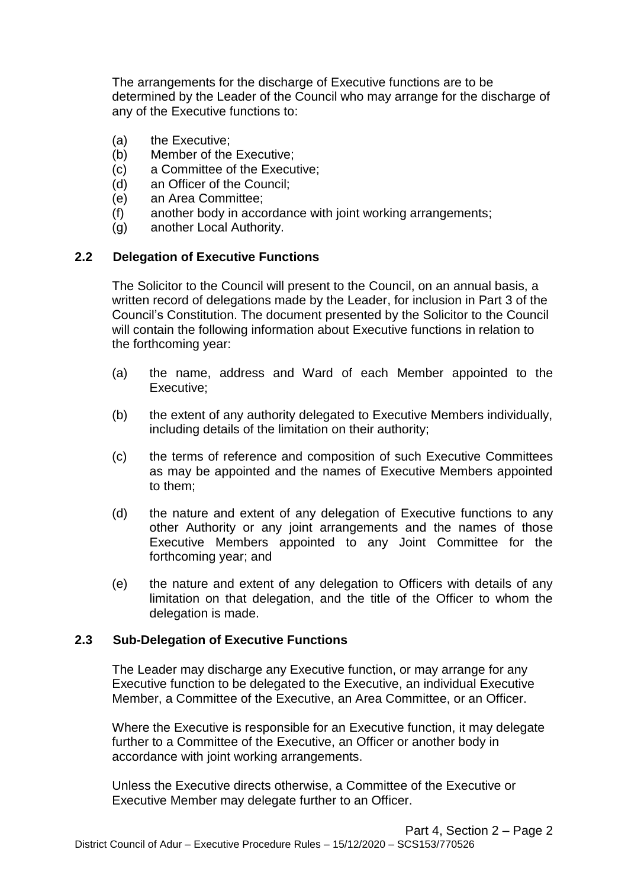The arrangements for the discharge of Executive functions are to be determined by the Leader of the Council who may arrange for the discharge of any of the Executive functions to:

- (a) the Executive;
- (b) Member of the Executive;
- (c) a Committee of the Executive;
- (d) an Officer of the Council;
- (e) an Area Committee;
- (f) another body in accordance with joint working arrangements;
- (g) another Local Authority.

## **2.2 Delegation of Executive Functions**

The Solicitor to the Council will present to the Council, on an annual basis, a written record of delegations made by the Leader, for inclusion in Part 3 of the Council's Constitution. The document presented by the Solicitor to the Council will contain the following information about Executive functions in relation to the forthcoming year:

- (a) the name, address and Ward of each Member appointed to the Executive;
- (b) the extent of any authority delegated to Executive Members individually, including details of the limitation on their authority;
- (c) the terms of reference and composition of such Executive Committees as may be appointed and the names of Executive Members appointed to them;
- (d) the nature and extent of any delegation of Executive functions to any other Authority or any joint arrangements and the names of those Executive Members appointed to any Joint Committee for the forthcoming year; and
- (e) the nature and extent of any delegation to Officers with details of any limitation on that delegation, and the title of the Officer to whom the delegation is made.

### **2.3 Sub-Delegation of Executive Functions**

The Leader may discharge any Executive function, or may arrange for any Executive function to be delegated to the Executive, an individual Executive Member, a Committee of the Executive, an Area Committee, or an Officer.

Where the Executive is responsible for an Executive function, it may delegate further to a Committee of the Executive, an Officer or another body in accordance with joint working arrangements.

Unless the Executive directs otherwise, a Committee of the Executive or Executive Member may delegate further to an Officer.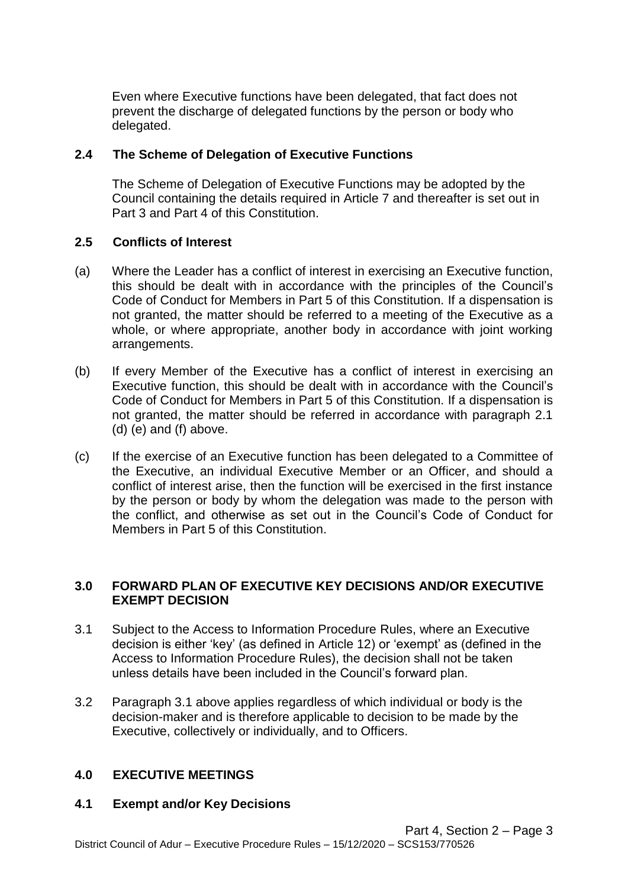Even where Executive functions have been delegated, that fact does not prevent the discharge of delegated functions by the person or body who delegated.

## **2.4 The Scheme of Delegation of Executive Functions**

The Scheme of Delegation of Executive Functions may be adopted by the Council containing the details required in Article 7 and thereafter is set out in Part 3 and Part 4 of this Constitution.

### **2.5 Conflicts of Interest**

- (a) Where the Leader has a conflict of interest in exercising an Executive function, this should be dealt with in accordance with the principles of the Council's Code of Conduct for Members in Part 5 of this Constitution. If a dispensation is not granted, the matter should be referred to a meeting of the Executive as a whole, or where appropriate, another body in accordance with joint working arrangements.
- (b) If every Member of the Executive has a conflict of interest in exercising an Executive function, this should be dealt with in accordance with the Council's Code of Conduct for Members in Part 5 of this Constitution. If a dispensation is not granted, the matter should be referred in accordance with paragraph 2.1 (d) (e) and (f) above.
- (c) If the exercise of an Executive function has been delegated to a Committee of the Executive, an individual Executive Member or an Officer, and should a conflict of interest arise, then the function will be exercised in the first instance by the person or body by whom the delegation was made to the person with the conflict, and otherwise as set out in the Council's Code of Conduct for Members in Part 5 of this Constitution.

## **3.0 FORWARD PLAN OF EXECUTIVE KEY DECISIONS AND/OR EXECUTIVE EXEMPT DECISION**

- 3.1 Subject to the Access to Information Procedure Rules, where an Executive decision is either 'key' (as defined in Article 12) or 'exempt' as (defined in the Access to Information Procedure Rules), the decision shall not be taken unless details have been included in the Council's forward plan.
- 3.2 Paragraph 3.1 above applies regardless of which individual or body is the decision-maker and is therefore applicable to decision to be made by the Executive, collectively or individually, and to Officers.

### **4.0 EXECUTIVE MEETINGS**

### **4.1 Exempt and/or Key Decisions**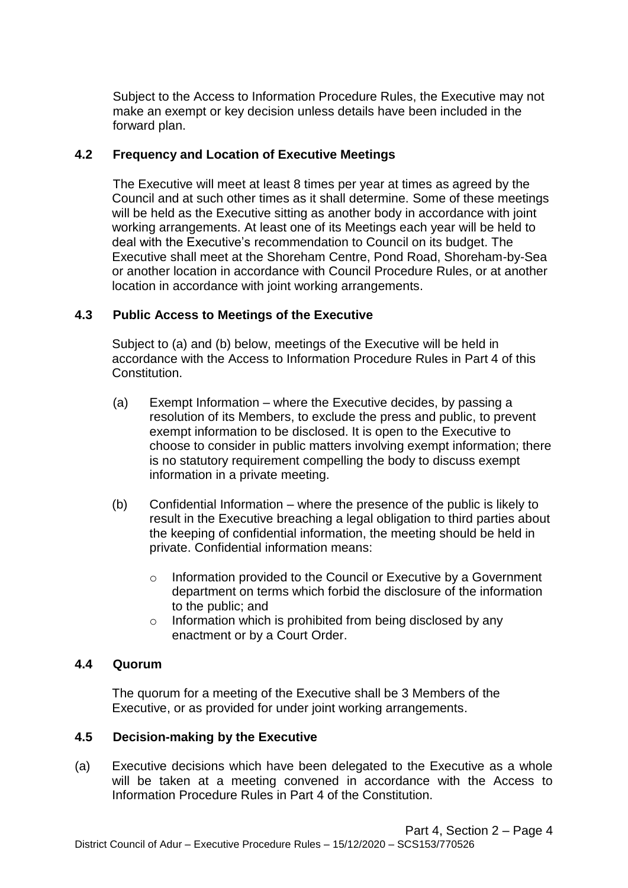Subject to the Access to Information Procedure Rules, the Executive may not make an exempt or key decision unless details have been included in the forward plan.

## **4.2 Frequency and Location of Executive Meetings**

The Executive will meet at least 8 times per year at times as agreed by the Council and at such other times as it shall determine. Some of these meetings will be held as the Executive sitting as another body in accordance with joint working arrangements. At least one of its Meetings each year will be held to deal with the Executive's recommendation to Council on its budget. The Executive shall meet at the Shoreham Centre, Pond Road, Shoreham-by-Sea or another location in accordance with Council Procedure Rules, or at another location in accordance with joint working arrangements.

## **4.3 Public Access to Meetings of the Executive**

Subject to (a) and (b) below, meetings of the Executive will be held in accordance with the Access to Information Procedure Rules in Part 4 of this Constitution.

- (a) Exempt Information where the Executive decides, by passing a resolution of its Members, to exclude the press and public, to prevent exempt information to be disclosed. It is open to the Executive to choose to consider in public matters involving exempt information; there is no statutory requirement compelling the body to discuss exempt information in a private meeting.
- (b) Confidential Information where the presence of the public is likely to result in the Executive breaching a legal obligation to third parties about the keeping of confidential information, the meeting should be held in private. Confidential information means:
	- o Information provided to the Council or Executive by a Government department on terms which forbid the disclosure of the information to the public; and
	- o Information which is prohibited from being disclosed by any enactment or by a Court Order.

### **4.4 Quorum**

The quorum for a meeting of the Executive shall be 3 Members of the Executive, or as provided for under joint working arrangements.

### **4.5 Decision-making by the Executive**

(a) Executive decisions which have been delegated to the Executive as a whole will be taken at a meeting convened in accordance with the Access to Information Procedure Rules in Part 4 of the Constitution.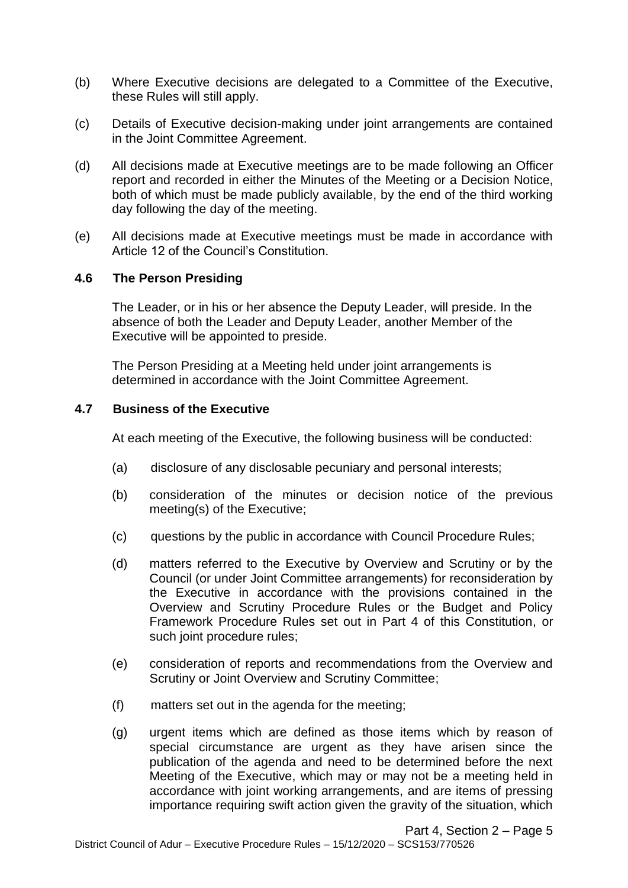- (b) Where Executive decisions are delegated to a Committee of the Executive, these Rules will still apply.
- (c) Details of Executive decision-making under joint arrangements are contained in the Joint Committee Agreement.
- (d) All decisions made at Executive meetings are to be made following an Officer report and recorded in either the Minutes of the Meeting or a Decision Notice, both of which must be made publicly available, by the end of the third working day following the day of the meeting.
- (e) All decisions made at Executive meetings must be made in accordance with Article 12 of the Council's Constitution.

### **4.6 The Person Presiding**

The Leader, or in his or her absence the Deputy Leader, will preside. In the absence of both the Leader and Deputy Leader, another Member of the Executive will be appointed to preside.

The Person Presiding at a Meeting held under joint arrangements is determined in accordance with the Joint Committee Agreement.

#### **4.7 Business of the Executive**

At each meeting of the Executive, the following business will be conducted:

- (a) disclosure of any disclosable pecuniary and personal interests;
- (b) consideration of the minutes or decision notice of the previous meeting(s) of the Executive;
- (c) questions by the public in accordance with Council Procedure Rules;
- (d) matters referred to the Executive by Overview and Scrutiny or by the Council (or under Joint Committee arrangements) for reconsideration by the Executive in accordance with the provisions contained in the Overview and Scrutiny Procedure Rules or the Budget and Policy Framework Procedure Rules set out in Part 4 of this Constitution, or such joint procedure rules;
- (e) consideration of reports and recommendations from the Overview and Scrutiny or Joint Overview and Scrutiny Committee;
- (f) matters set out in the agenda for the meeting;
- (g) urgent items which are defined as those items which by reason of special circumstance are urgent as they have arisen since the publication of the agenda and need to be determined before the next Meeting of the Executive, which may or may not be a meeting held in accordance with joint working arrangements, and are items of pressing importance requiring swift action given the gravity of the situation, which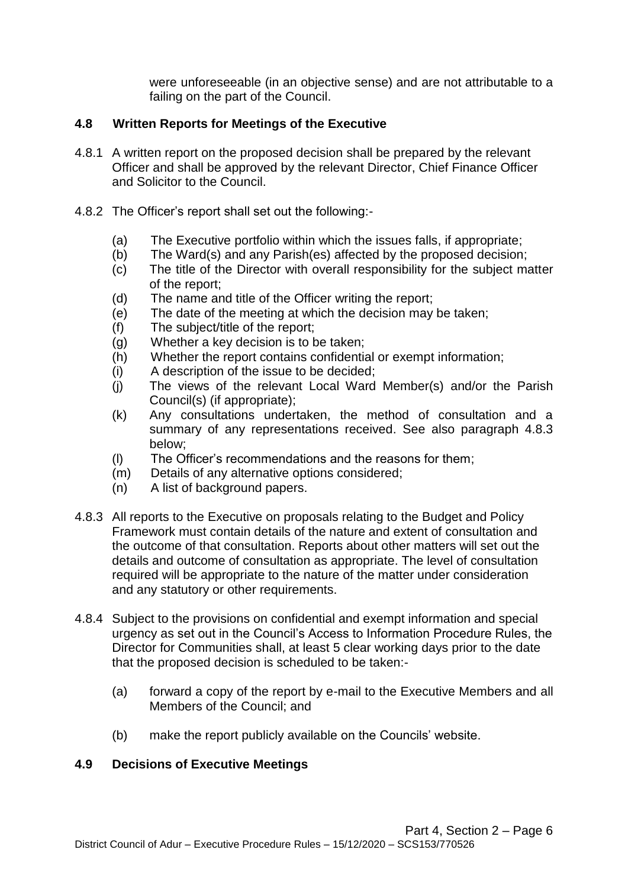were unforeseeable (in an objective sense) and are not attributable to a failing on the part of the Council.

# **4.8 Written Reports for Meetings of the Executive**

- 4.8.1 A written report on the proposed decision shall be prepared by the relevant Officer and shall be approved by the relevant Director, Chief Finance Officer and Solicitor to the Council.
- 4.8.2 The Officer's report shall set out the following:-
	- (a) The Executive portfolio within which the issues falls, if appropriate;
	- (b) The Ward(s) and any Parish(es) affected by the proposed decision;
	- (c) The title of the Director with overall responsibility for the subject matter of the report;
	- (d) The name and title of the Officer writing the report;
	- (e) The date of the meeting at which the decision may be taken;
	- (f) The subject/title of the report;
	- (g) Whether a key decision is to be taken;
	- (h) Whether the report contains confidential or exempt information;
	- (i) A description of the issue to be decided;
	- (j) The views of the relevant Local Ward Member(s) and/or the Parish Council(s) (if appropriate);
	- (k) Any consultations undertaken, the method of consultation and a summary of any representations received. See also paragraph 4.8.3 below;
	- (l) The Officer's recommendations and the reasons for them;
	- (m) Details of any alternative options considered;
	- (n) A list of background papers.
- 4.8.3 All reports to the Executive on proposals relating to the Budget and Policy Framework must contain details of the nature and extent of consultation and the outcome of that consultation. Reports about other matters will set out the details and outcome of consultation as appropriate. The level of consultation required will be appropriate to the nature of the matter under consideration and any statutory or other requirements.
- 4.8.4 Subject to the provisions on confidential and exempt information and special urgency as set out in the Council's Access to Information Procedure Rules, the Director for Communities shall, at least 5 clear working days prior to the date that the proposed decision is scheduled to be taken:-
	- (a) forward a copy of the report by e-mail to the Executive Members and all Members of the Council; and
	- (b) make the report publicly available on the Councils' website.

## **4.9 Decisions of Executive Meetings**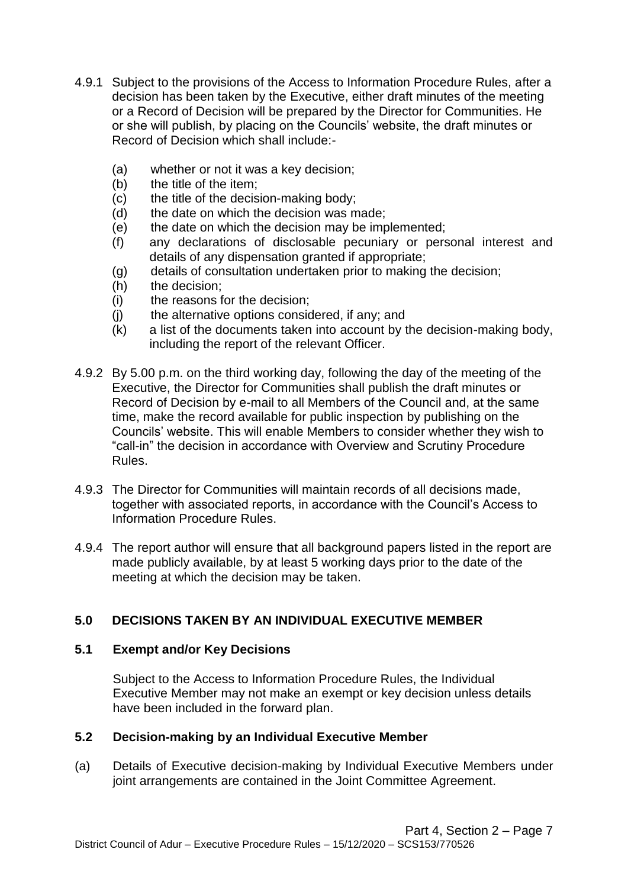- 4.9.1 Subject to the provisions of the Access to Information Procedure Rules, after a decision has been taken by the Executive, either draft minutes of the meeting or a Record of Decision will be prepared by the Director for Communities. He or she will publish, by placing on the Councils' website, the draft minutes or Record of Decision which shall include:-
	- (a) whether or not it was a key decision;
	- (b) the title of the item;
	- (c) the title of the decision-making body;
	- (d) the date on which the decision was made;
	- (e) the date on which the decision may be implemented;
	- (f) any declarations of disclosable pecuniary or personal interest and details of any dispensation granted if appropriate;
	- (g) details of consultation undertaken prior to making the decision;
	- (h) the decision;
	- (i) the reasons for the decision;
	- (j) the alternative options considered, if any; and
	- (k) a list of the documents taken into account by the decision-making body, including the report of the relevant Officer.
- 4.9.2 By 5.00 p.m. on the third working day, following the day of the meeting of the Executive, the Director for Communities shall publish the draft minutes or Record of Decision by e-mail to all Members of the Council and, at the same time, make the record available for public inspection by publishing on the Councils' website. This will enable Members to consider whether they wish to "call-in" the decision in accordance with Overview and Scrutiny Procedure Rules.
- 4.9.3 The Director for Communities will maintain records of all decisions made, together with associated reports, in accordance with the Council's Access to Information Procedure Rules.
- 4.9.4 The report author will ensure that all background papers listed in the report are made publicly available, by at least 5 working days prior to the date of the meeting at which the decision may be taken.

# **5.0 DECISIONS TAKEN BY AN INDIVIDUAL EXECUTIVE MEMBER**

### **5.1 Exempt and/or Key Decisions**

Subject to the Access to Information Procedure Rules, the Individual Executive Member may not make an exempt or key decision unless details have been included in the forward plan.

### **5.2 Decision-making by an Individual Executive Member**

(a) Details of Executive decision-making by Individual Executive Members under joint arrangements are contained in the Joint Committee Agreement.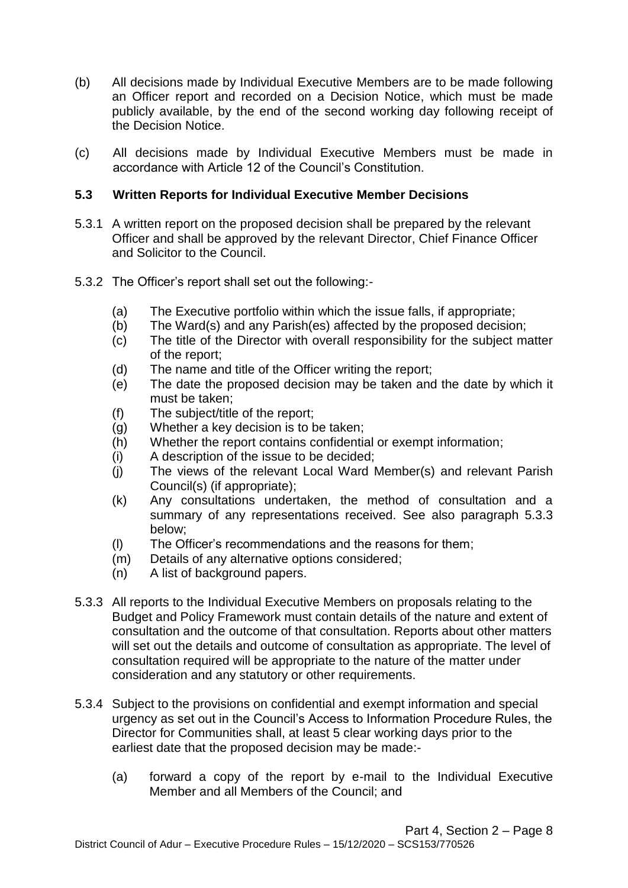- (b) All decisions made by Individual Executive Members are to be made following an Officer report and recorded on a Decision Notice, which must be made publicly available, by the end of the second working day following receipt of the Decision Notice.
- (c) All decisions made by Individual Executive Members must be made in accordance with Article 12 of the Council's Constitution.

## **5.3 Written Reports for Individual Executive Member Decisions**

- 5.3.1 A written report on the proposed decision shall be prepared by the relevant Officer and shall be approved by the relevant Director, Chief Finance Officer and Solicitor to the Council.
- 5.3.2 The Officer's report shall set out the following:-
	- (a) The Executive portfolio within which the issue falls, if appropriate;
	- (b) The Ward(s) and any Parish(es) affected by the proposed decision;
	- (c) The title of the Director with overall responsibility for the subject matter of the report;
	- (d) The name and title of the Officer writing the report;
	- (e) The date the proposed decision may be taken and the date by which it must be taken;
	- (f) The subject/title of the report;
	- (g) Whether a key decision is to be taken;
	- (h) Whether the report contains confidential or exempt information;
	- (i) A description of the issue to be decided;
	- (j) The views of the relevant Local Ward Member(s) and relevant Parish Council(s) (if appropriate);
	- (k) Any consultations undertaken, the method of consultation and a summary of any representations received. See also paragraph 5.3.3 below;
	- (l) The Officer's recommendations and the reasons for them;
	- (m) Details of any alternative options considered;
	- (n) A list of background papers.
- 5.3.3 All reports to the Individual Executive Members on proposals relating to the Budget and Policy Framework must contain details of the nature and extent of consultation and the outcome of that consultation. Reports about other matters will set out the details and outcome of consultation as appropriate. The level of consultation required will be appropriate to the nature of the matter under consideration and any statutory or other requirements.
- 5.3.4 Subject to the provisions on confidential and exempt information and special urgency as set out in the Council's Access to Information Procedure Rules, the Director for Communities shall, at least 5 clear working days prior to the earliest date that the proposed decision may be made:-
	- (a) forward a copy of the report by e-mail to the Individual Executive Member and all Members of the Council; and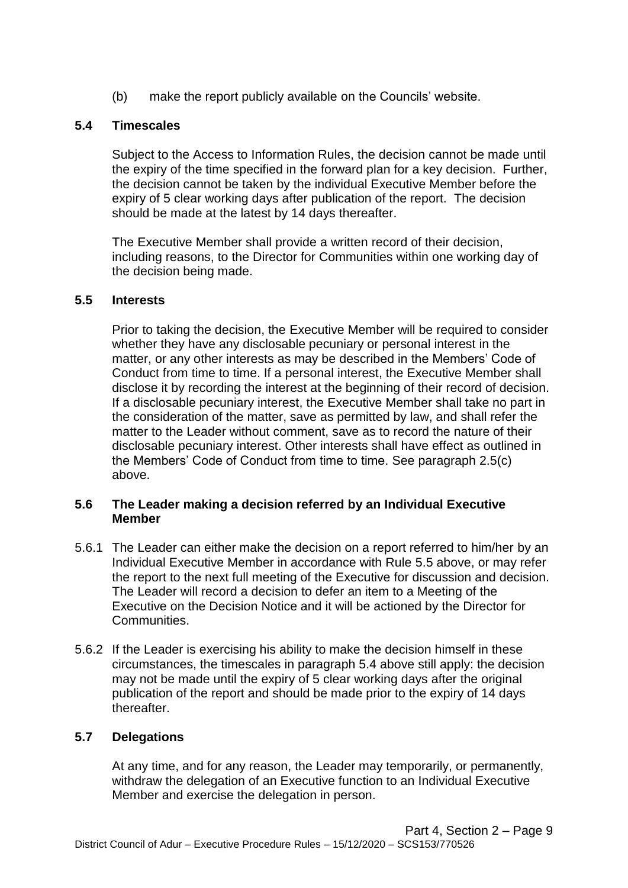(b) make the report publicly available on the Councils' website.

## **5.4 Timescales**

Subject to the Access to Information Rules, the decision cannot be made until the expiry of the time specified in the forward plan for a key decision. Further, the decision cannot be taken by the individual Executive Member before the expiry of 5 clear working days after publication of the report. The decision should be made at the latest by 14 days thereafter.

The Executive Member shall provide a written record of their decision, including reasons, to the Director for Communities within one working day of the decision being made.

### **5.5 Interests**

Prior to taking the decision, the Executive Member will be required to consider whether they have any disclosable pecuniary or personal interest in the matter, or any other interests as may be described in the Members' Code of Conduct from time to time. If a personal interest, the Executive Member shall disclose it by recording the interest at the beginning of their record of decision. If a disclosable pecuniary interest, the Executive Member shall take no part in the consideration of the matter, save as permitted by law, and shall refer the matter to the Leader without comment, save as to record the nature of their disclosable pecuniary interest. Other interests shall have effect as outlined in the Members' Code of Conduct from time to time. See paragraph 2.5(c) above.

## **5.6 The Leader making a decision referred by an Individual Executive Member**

- 5.6.1 The Leader can either make the decision on a report referred to him/her by an Individual Executive Member in accordance with Rule 5.5 above, or may refer the report to the next full meeting of the Executive for discussion and decision. The Leader will record a decision to defer an item to a Meeting of the Executive on the Decision Notice and it will be actioned by the Director for Communities.
- 5.6.2 If the Leader is exercising his ability to make the decision himself in these circumstances, the timescales in paragraph 5.4 above still apply: the decision may not be made until the expiry of 5 clear working days after the original publication of the report and should be made prior to the expiry of 14 days thereafter.

### **5.7 Delegations**

At any time, and for any reason, the Leader may temporarily, or permanently, withdraw the delegation of an Executive function to an Individual Executive Member and exercise the delegation in person.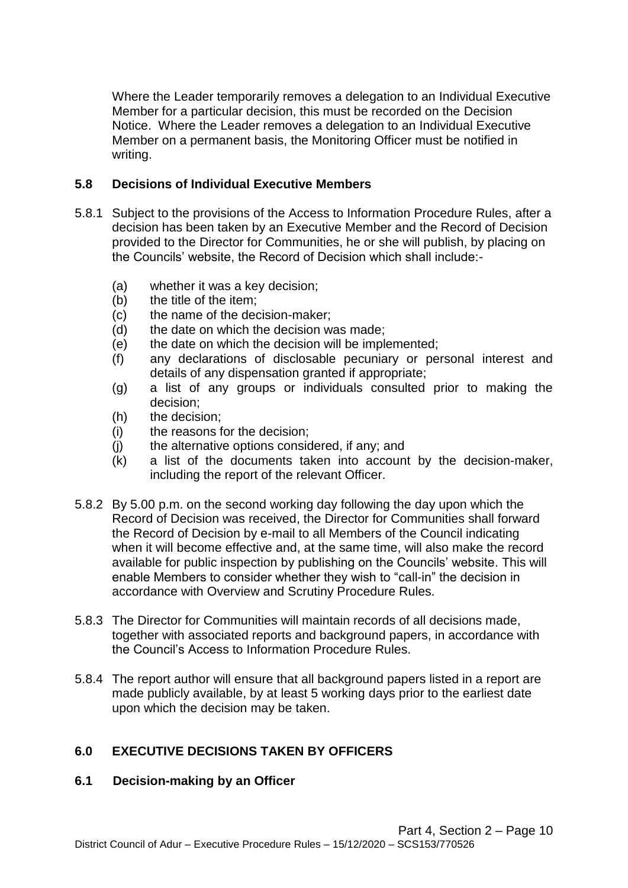Where the Leader temporarily removes a delegation to an Individual Executive Member for a particular decision, this must be recorded on the Decision Notice. Where the Leader removes a delegation to an Individual Executive Member on a permanent basis, the Monitoring Officer must be notified in writing.

## **5.8 Decisions of Individual Executive Members**

- 5.8.1 Subject to the provisions of the Access to Information Procedure Rules, after a decision has been taken by an Executive Member and the Record of Decision provided to the Director for Communities, he or she will publish, by placing on the Councils' website, the Record of Decision which shall include:-
	- (a) whether it was a key decision;
	- (b) the title of the item;
	- (c) the name of the decision-maker;
	- (d) the date on which the decision was made;
	- (e) the date on which the decision will be implemented;
	- (f) any declarations of disclosable pecuniary or personal interest and details of any dispensation granted if appropriate;
	- (g) a list of any groups or individuals consulted prior to making the decision;
	- (h) the decision;
	- (i) the reasons for the decision;
	- (j) the alternative options considered, if any; and
	- (k) a list of the documents taken into account by the decision-maker, including the report of the relevant Officer.
- 5.8.2 By 5.00 p.m. on the second working day following the day upon which the Record of Decision was received, the Director for Communities shall forward the Record of Decision by e-mail to all Members of the Council indicating when it will become effective and, at the same time, will also make the record available for public inspection by publishing on the Councils' website. This will enable Members to consider whether they wish to "call-in" the decision in accordance with Overview and Scrutiny Procedure Rules.
- 5.8.3 The Director for Communities will maintain records of all decisions made, together with associated reports and background papers, in accordance with the Council's Access to Information Procedure Rules.
- 5.8.4 The report author will ensure that all background papers listed in a report are made publicly available, by at least 5 working days prior to the earliest date upon which the decision may be taken.

## **6.0 EXECUTIVE DECISIONS TAKEN BY OFFICERS**

### **6.1 Decision-making by an Officer**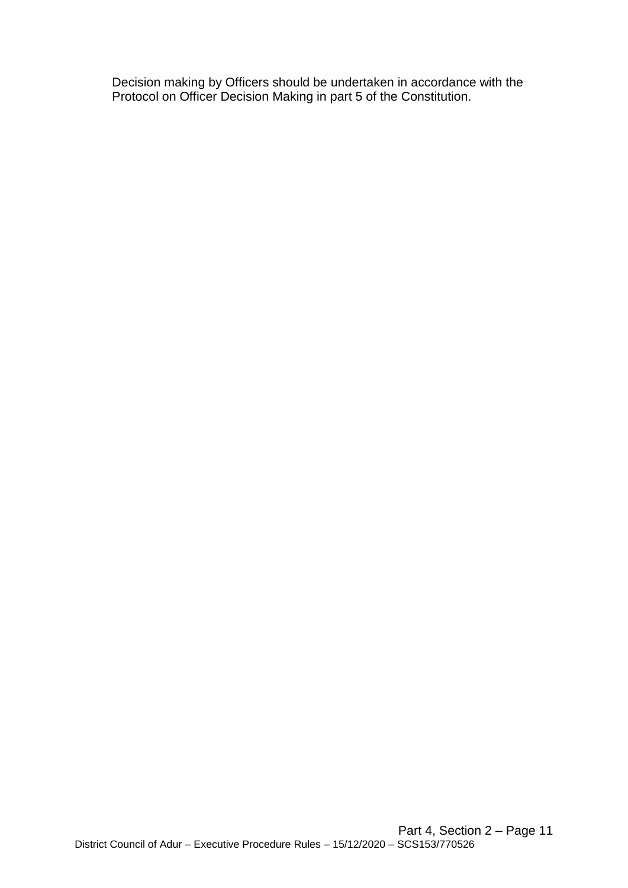Decision making by Officers should be undertaken in accordance with the Protocol on Officer Decision Making in part 5 of the Constitution.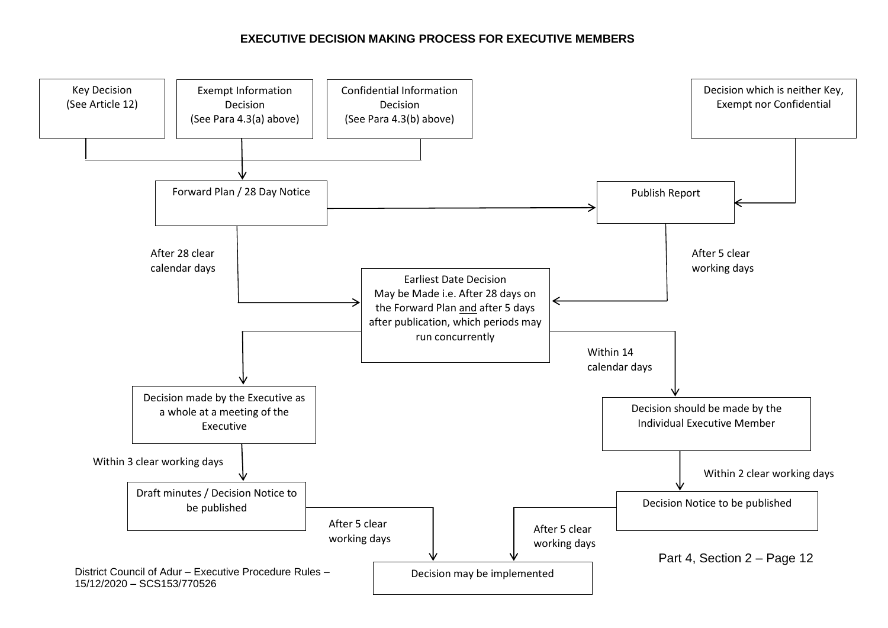#### **EXECUTIVE DECISION MAKING PROCESS FOR EXECUTIVE MEMBERS**